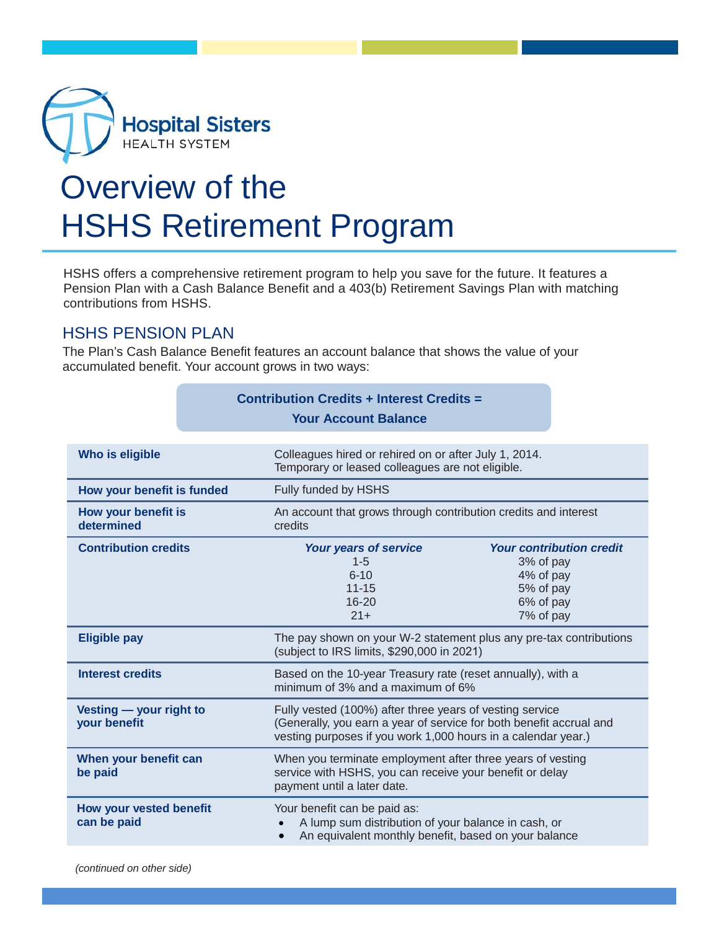

## Overview of the HSHS Retirement Program

HSHS offers a comprehensive retirement program to help you save for the future. It features a Pension Plan with a Cash Balance Benefit and a 403(b) Retirement Savings Plan with matching contributions from HSHS.

## HSHS PENSION PLAN

The Plan's Cash Balance Benefit features an account balance that shows the value of your accumulated benefit. Your account grows in two ways:

|                                         |  | <b>Contribution Credits + Interest Credits =</b>                                                                                                                                                 |                                                                                                  |  |
|-----------------------------------------|--|--------------------------------------------------------------------------------------------------------------------------------------------------------------------------------------------------|--------------------------------------------------------------------------------------------------|--|
|                                         |  | <b>Your Account Balance</b>                                                                                                                                                                      |                                                                                                  |  |
|                                         |  |                                                                                                                                                                                                  |                                                                                                  |  |
| Who is eligible                         |  | Colleagues hired or rehired on or after July 1, 2014.<br>Temporary or leased colleagues are not eligible.                                                                                        |                                                                                                  |  |
| How your benefit is funded              |  | Fully funded by HSHS                                                                                                                                                                             |                                                                                                  |  |
| How your benefit is<br>determined       |  | An account that grows through contribution credits and interest<br>credits                                                                                                                       |                                                                                                  |  |
| <b>Contribution credits</b>             |  | Your years of service<br>$1 - 5$<br>$6 - 10$<br>$11 - 15$<br>$16 - 20$<br>$21 +$                                                                                                                 | <b>Your contribution credit</b><br>3% of pay<br>4% of pay<br>5% of pay<br>6% of pay<br>7% of pay |  |
| <b>Eligible pay</b>                     |  | The pay shown on your W-2 statement plus any pre-tax contributions<br>(subject to IRS limits, \$290,000 in 2021)                                                                                 |                                                                                                  |  |
| <b>Interest credits</b>                 |  | Based on the 10-year Treasury rate (reset annually), with a<br>minimum of 3% and a maximum of 6%                                                                                                 |                                                                                                  |  |
| Vesting - your right to<br>your benefit |  | Fully vested (100%) after three years of vesting service<br>(Generally, you earn a year of service for both benefit accrual and<br>vesting purposes if you work 1,000 hours in a calendar year.) |                                                                                                  |  |
| When your benefit can<br>be paid        |  | When you terminate employment after three years of vesting<br>service with HSHS, you can receive your benefit or delay<br>payment until a later date.                                            |                                                                                                  |  |
| How your vested benefit<br>can be paid  |  | Your benefit can be paid as:<br>A lump sum distribution of your balance in cash, or<br>An equivalent monthly benefit, based on your balance                                                      |                                                                                                  |  |
|                                         |  |                                                                                                                                                                                                  |                                                                                                  |  |